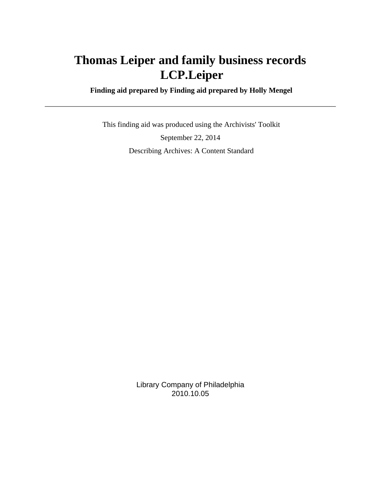# **Thomas Leiper and family business records LCP.Leiper**

 **Finding aid prepared by Finding aid prepared by Holly Mengel**

 This finding aid was produced using the Archivists' Toolkit September 22, 2014 Describing Archives: A Content Standard

> Library Company of Philadelphia 2010.10.05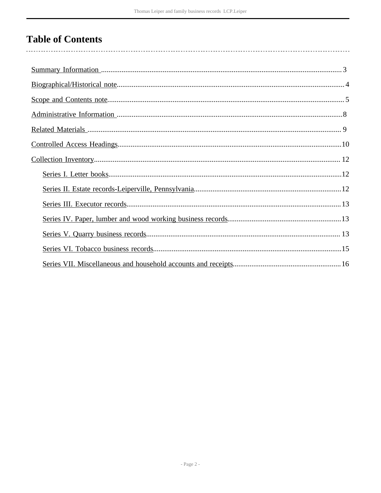## **Table of Contents**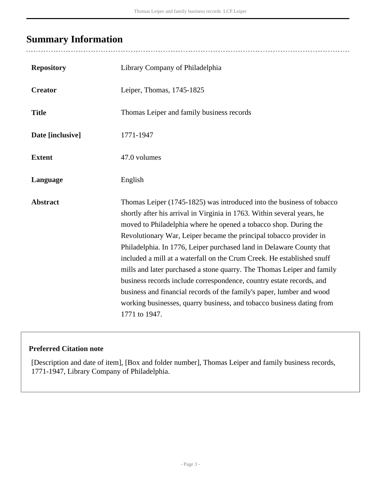## <span id="page-2-0"></span>**Summary Information**

| <b>Repository</b> | Library Company of Philadelphia                                                                                                                                                                                                                                                                                                                                                                                                                                                                                                                                                                                                                                                                                                                                   |
|-------------------|-------------------------------------------------------------------------------------------------------------------------------------------------------------------------------------------------------------------------------------------------------------------------------------------------------------------------------------------------------------------------------------------------------------------------------------------------------------------------------------------------------------------------------------------------------------------------------------------------------------------------------------------------------------------------------------------------------------------------------------------------------------------|
| <b>Creator</b>    | Leiper, Thomas, 1745-1825                                                                                                                                                                                                                                                                                                                                                                                                                                                                                                                                                                                                                                                                                                                                         |
| <b>Title</b>      | Thomas Leiper and family business records                                                                                                                                                                                                                                                                                                                                                                                                                                                                                                                                                                                                                                                                                                                         |
| Date [inclusive]  | 1771-1947                                                                                                                                                                                                                                                                                                                                                                                                                                                                                                                                                                                                                                                                                                                                                         |
| <b>Extent</b>     | 47.0 volumes                                                                                                                                                                                                                                                                                                                                                                                                                                                                                                                                                                                                                                                                                                                                                      |
| Language          | English                                                                                                                                                                                                                                                                                                                                                                                                                                                                                                                                                                                                                                                                                                                                                           |
| <b>Abstract</b>   | Thomas Leiper (1745-1825) was introduced into the business of tobacco<br>shortly after his arrival in Virginia in 1763. Within several years, he<br>moved to Philadelphia where he opened a tobacco shop. During the<br>Revolutionary War, Leiper became the principal tobacco provider in<br>Philadelphia. In 1776, Leiper purchased land in Delaware County that<br>included a mill at a waterfall on the Crum Creek. He established snuff<br>mills and later purchased a stone quarry. The Thomas Leiper and family<br>business records include correspondence, country estate records, and<br>business and financial records of the family's paper, lumber and wood<br>working businesses, quarry business, and tobacco business dating from<br>1771 to 1947. |

### **Preferred Citation note**

[Description and date of item], [Box and folder number], Thomas Leiper and family business records, 1771-1947, Library Company of Philadelphia.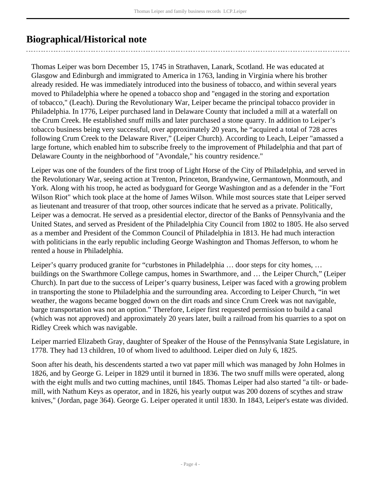## <span id="page-3-0"></span>**Biographical/Historical note**

Thomas Leiper was born December 15, 1745 in Strathaven, Lanark, Scotland. He was educated at Glasgow and Edinburgh and immigrated to America in 1763, landing in Virginia where his brother already resided. He was immediately introduced into the business of tobacco, and within several years moved to Philadelphia where he opened a tobacco shop and "engaged in the storing and exportation of tobacco," (Leach). During the Revolutionary War, Leiper became the principal tobacco provider in Philadelphia. In 1776, Leiper purchased land in Delaware County that included a mill at a waterfall on the Crum Creek. He established snuff mills and later purchased a stone quarry. In addition to Leiper's tobacco business being very successful, over approximately 20 years, he "acquired a total of 728 acres following Crum Creek to the Delaware River," (Leiper Church). According to Leach, Leiper "amassed a large fortune, which enabled him to subscribe freely to the improvement of Philadelphia and that part of Delaware County in the neighborhood of "Avondale," his country residence."

Leiper was one of the founders of the first troop of Light Horse of the City of Philadelphia, and served in the Revolutionary War, seeing action at Trenton, Princeton, Brandywine, Germantown, Monmouth, and York. Along with his troop, he acted as bodyguard for George Washington and as a defender in the "Fort Wilson Riot" which took place at the home of James Wilson. While most sources state that Leiper served as lieutenant and treasurer of that troop, other sources indicate that he served as a private. Politically, Leiper was a democrat. He served as a presidential elector, director of the Banks of Pennsylvania and the United States, and served as President of the Philadelphia City Council from 1802 to 1805. He also served as a member and President of the Common Council of Philadelphia in 1813. He had much interaction with politicians in the early republic including George Washington and Thomas Jefferson, to whom he rented a house in Philadelphia.

Leiper's quarry produced granite for "curbstones in Philadelphia … door steps for city homes, … buildings on the Swarthmore College campus, homes in Swarthmore, and … the Leiper Church," (Leiper Church). In part due to the success of Leiper's quarry business, Leiper was faced with a growing problem in transporting the stone to Philadelphia and the surrounding area. According to Leiper Church, "in wet weather, the wagons became bogged down on the dirt roads and since Crum Creek was not navigable, barge transportation was not an option." Therefore, Leiper first requested permission to build a canal (which was not approved) and approximately 20 years later, built a railroad from his quarries to a spot on Ridley Creek which was navigable.

Leiper married Elizabeth Gray, daughter of Speaker of the House of the Pennsylvania State Legislature, in 1778. They had 13 children, 10 of whom lived to adulthood. Leiper died on July 6, 1825.

Soon after his death, his descendents started a two vat paper mill which was managed by John Holmes in 1826, and by George G. Leiper in 1829 until it burned in 1836. The two snuff mills were operated, along with the eight mulls and two cutting machines, until 1845. Thomas Leiper had also started "a tilt- or bademill, with Nathum Keys as operator, and in 1826, his yearly output was 200 dozens of scythes and straw knives," (Jordan, page 364). George G. Leiper operated it until 1830. In 1843, Leiper's estate was divided.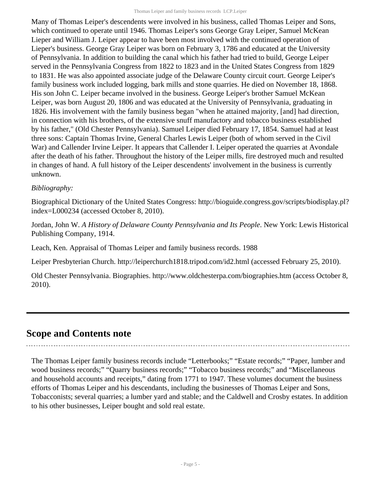Many of Thomas Leiper's descendents were involved in his business, called Thomas Leiper and Sons, which continued to operate until 1946. Thomas Leiper's sons George Gray Leiper, Samuel McKean Lieper and William J. Leiper appear to have been most involved with the continued operation of Lieper's business. George Gray Leiper was born on February 3, 1786 and educated at the University of Pennsylvania. In addition to building the canal which his father had tried to build, George Leiper served in the Pennsylvania Congress from 1822 to 1823 and in the United States Congress from 1829 to 1831. He was also appointed associate judge of the Delaware County circuit court. George Leiper's family business work included logging, bark mills and stone quarries. He died on November 18, 1868. His son John C. Leiper became involved in the business. George Leiper's brother Samuel McKean Leiper, was born August 20, 1806 and was educated at the University of Pennsylvania, graduating in 1826. His involvement with the family business began "when he attained majority, [and] had direction, in connection with his brothers, of the extensive snuff manufactory and tobacco business established by his father," (Old Chester Pennsylvania). Samuel Leiper died February 17, 1854. Samuel had at least three sons: Captain Thomas Irvine, General Charles Lewis Leiper (both of whom served in the Civil War) and Callender Irvine Leiper. It appears that Callender I. Leiper operated the quarries at Avondale after the death of his father. Throughout the history of the Leiper mills, fire destroyed much and resulted in changes of hand. A full history of the Leiper descendents' involvement in the business is currently unknown.

#### *Bibliography:*

Biographical Dictionary of the United States Congress: http://bioguide.congress.gov/scripts/biodisplay.pl? index=L000234 (accessed October 8, 2010).

Jordan, John W. *A History of Delaware County Pennsylvania and Its People*. New York: Lewis Historical Publishing Company, 1914.

Leach, Ken. Appraisal of Thomas Leiper and family business records. 1988

Leiper Presbyterian Church. http://leiperchurch1818.tripod.com/id2.html (accessed February 25, 2010).

Old Chester Pennsylvania. Biographies. http://www.oldchesterpa.com/biographies.htm (access October 8, 2010).

### <span id="page-4-0"></span>**Scope and Contents note**

The Thomas Leiper family business records include "Letterbooks;" "Estate records;" "Paper, lumber and wood business records;" "Quarry business records;" "Tobacco business records;" and "Miscellaneous and household accounts and receipts," dating from 1771 to 1947. These volumes document the business efforts of Thomas Leiper and his descendants, including the businesses of Thomas Leiper and Sons, Tobacconists; several quarries; a lumber yard and stable; and the Caldwell and Crosby estates. In addition to his other businesses, Leiper bought and sold real estate.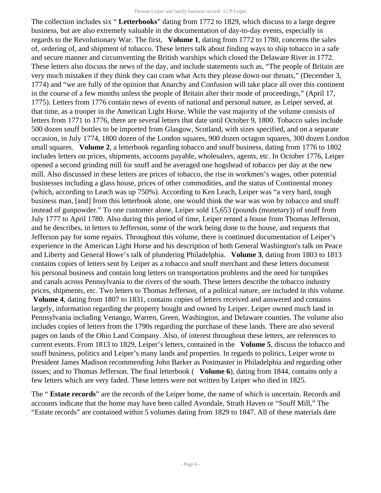The collection includes six " **Letterbooks**" dating from 1772 to 1829, which discuss to a large degree business, but are also extremely valuable in the documentation of day-to-day events, especially in regards to the Revolutionary War. The first, **Volume 1**, dating from 1772 to 1780, concerns the sales of, ordering of, and shipment of tobacco. These letters talk about finding ways to ship tobacco in a safe and secure manner and circumventing the British warships which closed the Delaware River in 1772. These letters also discuss the news of the day, and include statements such as, "The people of Britain are very much mistaken if they think they can cram what Acts they please down our throats," (December 3, 1774) and "we are fully of the opinion that Anarchy and Confusion will take place all over this continent in the course of a few months unless the people of Britain alter their mode of proceedings," (April 17, 1775). Letters from 1776 contain news of events of national and personal nature, as Leiper served, at that time, as a trooper in the American Light Horse. While the vast majority of the volume consists of letters from 1771 to 1776, there are several letters that date until October 9, 1800. Tobacco sales include 500 dozen snuff bottles to be imported from Glasgow, Scotland, with sizes specified, and on a separate occasion, in July 1774, 1800 dozen of the London squares, 900 dozen octagon squares, 300 dozen London small squares. **Volume 2**, a letterbook regarding tobacco and snuff business, dating from 1776 to 1802 includes letters on prices, shipments, accounts payable, wholesalers, agents, etc. In October 1776, Leiper opened a second grinding mill for snuff and he averaged one hogshead of tobacco per day at the new mill. Also discussed in these letters are prices of tobacco, the rise in workmen's wages, other potential businesses including a glass house, prices of other commodities, and the status of Continental money (which, according to Leach was up 750%). According to Ken Leach, Leiper was "a very hard, tough business man, [and] from this letterbook alone, one would think the war was won by tobacco and snuff instead of gunpowder." To one customer alone, Leiper sold 15,653 (pounds (monetary)) of snuff from July 1777 to April 1780. Also during this period of time, Leiper rented a house from Thomas Jefferson, and he describes, in letters to Jefferson, some of the work being done to the house, and requests that Jefferson pay for some repairs. Throughout this volume, there is continued documentation of Leiper's experience in the American Light Horse and his description of both General Washington's talk on Peace and Liberty and General Howe's talk of plundering Philadelphia. **Volume 3**, dating from 1803 to 1813 contains copies of letters sent by Leiper as a tobacco and snuff merchant and these letters document his personal business and contain long letters on transportation problems and the need for turnpikes and canals across Pennsylvania to the rivers of the south. These letters describe the tobacco industry prices, shipments, etc. Two letters to Thomas Jefferson, of a political nature, are included in this volume.  **Volume 4**, dating from 1807 to 1831, contains copies of letters received and answered and contains largely, information regarding the property bought and owned by Leiper. Leiper owned much land in Pennsylvania including Venango, Warren, Green, Washington, and Delaware counties. The volume also includes copies of letters from the 1790s regarding the purchase of these lands. There are also several pages on lands of the Ohio Land Company. Also, of interest throughout these letters, are references to current events. From 1813 to 1829, Leiper's letters, contained in the **Volume 5**, discuss the tobacco and snuff business, politics and Leiper's many lands and properties. In regards to politics, Leiper wrote to President James Madison recommending John Barker as Postmaster in Philadelphia and regarding other issues; and to Thomas Jefferson. The final letterbook ( **Volume 6**), dating from 1844, contains only a few letters which are very faded. These letters were not written by Leiper who died in 1825.

The " **Estate records**" are the records of the Leiper home, the name of which is uncertain. Records and accounts indicate that the home may have been called Avondale, Strath Haven or "Snuff Mill," The "Estate records" are contained within 5 volumes dating from 1829 to 1847. All of these materials date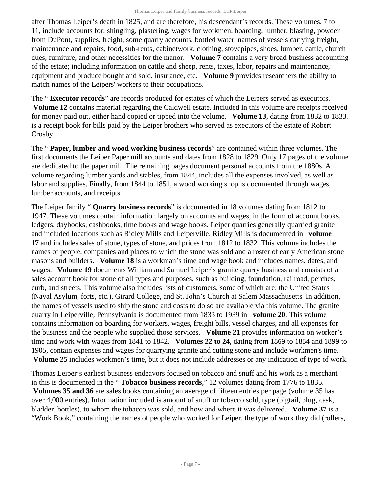after Thomas Leiper's death in 1825, and are therefore, his descendant's records. These volumes, 7 to 11, include accounts for: shingling, plastering, wages for workmen, boarding, lumber, blasting, powder from DuPont, supplies, freight, some quarry accounts, bottled water, names of vessels carrying freight, maintenance and repairs, food, sub-rents, cabinetwork, clothing, stovepipes, shoes, lumber, cattle, church dues, furniture, and other necessities for the manor. **Volume 7** contains a very broad business accounting of the estate; including information on cattle and sheep, rents, taxes, labor, repairs and maintenance, equipment and produce bought and sold, insurance, etc. **Volume 9** provides researchers the ability to match names of the Leipers' workers to their occupations.

The " **Executor records**" are records produced for estates of which the Leipers served as executors. **Volume 12** contains material regarding the Caldwell estate. Included in this volume are receipts received for money paid out, either hand copied or tipped into the volume. **Volume 13**, dating from 1832 to 1833, is a receipt book for bills paid by the Leiper brothers who served as executors of the estate of Robert Crosby.

The " **Paper, lumber and wood working business records**" are contained within three volumes. The first documents the Leiper Paper mill accounts and dates from 1828 to 1829. Only 17 pages of the volume are dedicated to the paper mill. The remaining pages document personal accounts from the 1880s. A volume regarding lumber yards and stables, from 1844, includes all the expenses involved, as well as labor and supplies. Finally, from 1844 to 1851, a wood working shop is documented through wages, lumber accounts, and receipts.

The Leiper family " **Quarry business records**" is documented in 18 volumes dating from 1812 to 1947. These volumes contain information largely on accounts and wages, in the form of account books, ledgers, daybooks, cashbooks, time books and wage books. Leiper quarries generally quarried granite and included locations such as Ridley Mills and Leiperville. Ridley Mills is documented in **volume 17** and includes sales of stone, types of stone, and prices from 1812 to 1832. This volume includes the names of people, companies and places to which the stone was sold and a roster of early American stone masons and builders. **Volume 18** is a workman's time and wage book and includes names, dates, and wages. **Volume 19** documents William and Samuel Leiper's granite quarry business and consists of a sales account book for stone of all types and purposes, such as building, foundation, railroad, perches, curb, and streets. This volume also includes lists of customers, some of which are: the United States (Naval Asylum, forts, etc.), Girard College, and St. John's Church at Salem Massachusetts. In addition, the names of vessels used to ship the stone and costs to do so are available via this volume. The granite quarry in Leiperville, Pennsylvania is documented from 1833 to 1939 in **volume 20**. This volume contains information on boarding for workers, wages, freight bills, vessel charges, and all expenses for the business and the people who supplied those services. **Volume 21** provides information on worker's time and work with wages from 1841 to 1842. **Volumes 22 to 24**, dating from 1869 to 1884 and 1899 to 1905, contain expenses and wages for quarrying granite and cutting stone and include workmen's time.  **Volume 25** includes workmen's time, but it does not include addresses or any indication of type of work.

Thomas Leiper's earliest business endeavors focused on tobacco and snuff and his work as a merchant in this is documented in the " **Tobacco business records**," 12 volumes dating from 1776 to 1835.  **Volumes 35 and 36** are sales books containing an average of fifteen entries per page (volume 35 has over 4,000 entries). Information included is amount of snuff or tobacco sold, type (pigtail, plug, cask, bladder, bottles), to whom the tobacco was sold, and how and where it was delivered. **Volume 37** is a "Work Book," containing the names of people who worked for Leiper, the type of work they did (rollers,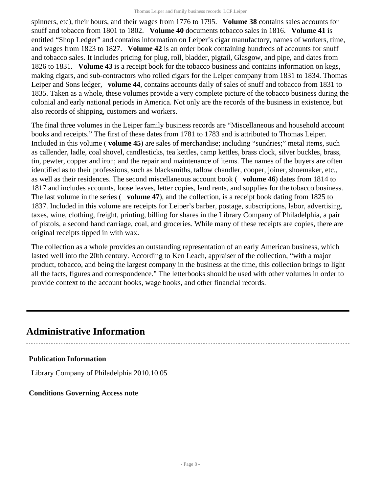spinners, etc), their hours, and their wages from 1776 to 1795. **Volume 38** contains sales accounts for snuff and tobacco from 1801 to 1802. **Volume 40** documents tobacco sales in 1816. **Volume 41** is entitled "Shop Ledger" and contains information on Leiper's cigar manufactory, names of workers, time, and wages from 1823 to 1827. **Volume 42** is an order book containing hundreds of accounts for snuff and tobacco sales. It includes pricing for plug, roll, bladder, pigtail, Glasgow, and pipe, and dates from 1826 to 1831. **Volume 43** is a receipt book for the tobacco business and contains information on kegs, making cigars, and sub-contractors who rolled cigars for the Leiper company from 1831 to 1834. Thomas Leiper and Sons ledger, **volume 44**, contains accounts daily of sales of snuff and tobacco from 1831 to 1835. Taken as a whole, these volumes provide a very complete picture of the tobacco business during the colonial and early national periods in America. Not only are the records of the business in existence, but also records of shipping, customers and workers.

The final three volumes in the Leiper family business records are "Miscellaneous and household account books and receipts." The first of these dates from 1781 to 1783 and is attributed to Thomas Leiper. Included in this volume ( **volume 45**) are sales of merchandise; including "sundries;" metal items, such as callender, ladle, coal shovel, candlesticks, tea kettles, camp kettles, brass clock, silver buckles, brass, tin, pewter, copper and iron; and the repair and maintenance of items. The names of the buyers are often identified as to their professions, such as blacksmiths, tallow chandler, cooper, joiner, shoemaker, etc., as well as their residences. The second miscellaneous account book ( **volume 46**) dates from 1814 to 1817 and includes accounts, loose leaves, letter copies, land rents, and supplies for the tobacco business. The last volume in the series ( **volume 47**), and the collection, is a receipt book dating from 1825 to 1837. Included in this volume are receipts for Leiper's barber, postage, subscriptions, labor, advertising, taxes, wine, clothing, freight, printing, billing for shares in the Library Company of Philadelphia, a pair of pistols, a second hand carriage, coal, and groceries. While many of these receipts are copies, there are original receipts tipped in with wax.

The collection as a whole provides an outstanding representation of an early American business, which lasted well into the 20th century. According to Ken Leach, appraiser of the collection, "with a major product, tobacco, and being the largest company in the business at the time, this collection brings to light all the facts, figures and correspondence." The letterbooks should be used with other volumes in order to provide context to the account books, wage books, and other financial records.

## <span id="page-7-0"></span>**Administrative Information**

#### **Publication Information**

Library Company of Philadelphia 2010.10.05

#### **Conditions Governing Access note**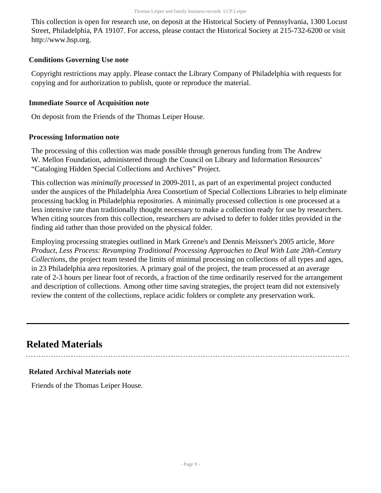This collection is open for research use, on deposit at the Historical Society of Pennsylvania, 1300 Locust Street, Philadelphia, PA 19107. For access, please contact the Historical Society at 215-732-6200 or visit http://www.hsp.org.

#### **Conditions Governing Use note**

Copyright restrictions may apply. Please contact the Library Company of Philadelphia with requests for copying and for authorization to publish, quote or reproduce the material.

#### **Immediate Source of Acquisition note**

On deposit from the Friends of the Thomas Leiper House.

#### **Processing Information note**

The processing of this collection was made possible through generous funding from The Andrew W. Mellon Foundation, administered through the Council on Library and Information Resources' "Cataloging Hidden Special Collections and Archives" Project.

This collection was *minimally processed* in 2009-2011, as part of an experimental project conducted under the auspices of the Philadelphia Area Consortium of Special Collections Libraries to help eliminate processing backlog in Philadelphia repositories. A minimally processed collection is one processed at a less intensive rate than traditionally thought necessary to make a collection ready for use by researchers. When citing sources from this collection, researchers are advised to defer to folder titles provided in the finding aid rather than those provided on the physical folder.

Employing processing strategies outlined in Mark Greene's and Dennis Meissner's 2005 article, *More Product, Less Process: Revamping Traditional Processing Approaches to Deal With Late 20th-Century Collections*, the project team tested the limits of minimal processing on collections of all types and ages, in 23 Philadelphia area repositories. A primary goal of the project, the team processed at an average rate of 2-3 hours per linear foot of records, a fraction of the time ordinarily reserved for the arrangement and description of collections. Among other time saving strategies, the project team did not extensively review the content of the collections, replace acidic folders or complete any preservation work.

### <span id="page-8-0"></span>**Related Materials**

#### **Related Archival Materials note**

Friends of the Thomas Leiper House.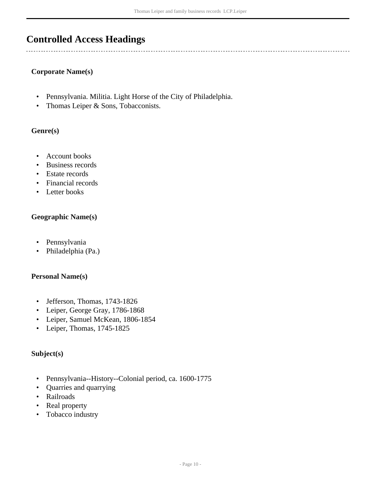## <span id="page-9-0"></span>**Controlled Access Headings**

#### **Corporate Name(s)**

- Pennsylvania. Militia. Light Horse of the City of Philadelphia.
- Thomas Leiper & Sons, Tobacconists.

#### **Genre(s)**

- Account books
- Business records
- Estate records
- Financial records
- Letter books

#### **Geographic Name(s)**

- Pennsylvania
- Philadelphia (Pa.)

#### **Personal Name(s)**

- Jefferson, Thomas, 1743-1826
- Leiper, George Gray, 1786-1868
- Leiper, Samuel McKean, 1806-1854
- Leiper, Thomas, 1745-1825

#### **Subject(s)**

- Pennsylvania--History--Colonial period, ca. 1600-1775
- Quarries and quarrying
- Railroads
- Real property
- Tobacco industry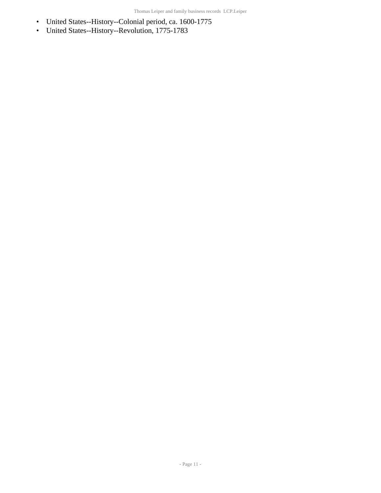- United States--History--Colonial period, ca. 1600-1775
- United States--History--Revolution, 1775-1783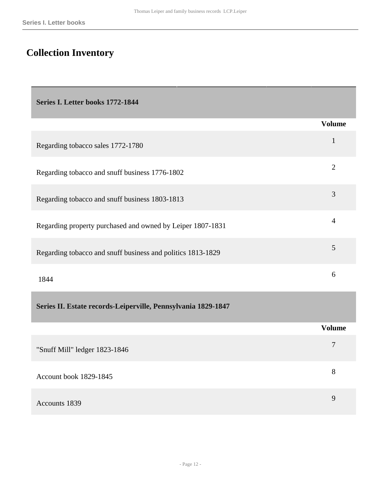# <span id="page-11-0"></span>**Collection Inventory**

<span id="page-11-1"></span>

| Series I. Letter books 1772-1844                              |                |
|---------------------------------------------------------------|----------------|
|                                                               | <b>Volume</b>  |
| Regarding tobacco sales 1772-1780                             | $\mathbf{1}$   |
| Regarding tobacco and snuff business 1776-1802                | $\overline{2}$ |
| Regarding tobacco and snuff business 1803-1813                | 3              |
| Regarding property purchased and owned by Leiper 1807-1831    | $\overline{4}$ |
| Regarding tobacco and snuff business and politics 1813-1829   | 5              |
| 1844                                                          | 6              |
| Series II. Estate records-Leiperville, Pennsylvania 1829-1847 |                |
|                                                               | <b>Volume</b>  |
| "Snuff Mill" ledger 1823-1846                                 | $\overline{7}$ |
| Account book 1829-1845                                        | 8              |

<span id="page-11-2"></span>

| Accounts 1839 |  |  |
|---------------|--|--|
|               |  |  |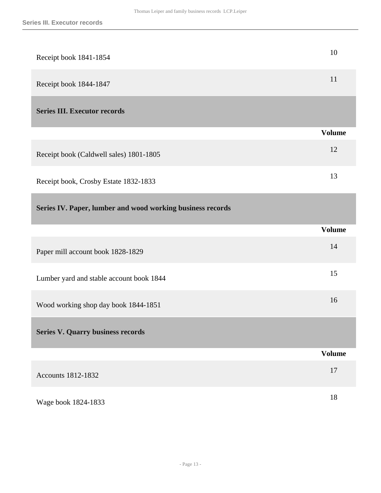<span id="page-12-2"></span><span id="page-12-1"></span><span id="page-12-0"></span>

| Receipt book 1841-1854                                     | 10            |
|------------------------------------------------------------|---------------|
| Receipt book 1844-1847                                     | 11            |
| <b>Series III. Executor records</b>                        |               |
|                                                            | <b>Volume</b> |
| Receipt book (Caldwell sales) 1801-1805                    | 12            |
| Receipt book, Crosby Estate 1832-1833                      | 13            |
| Series IV. Paper, lumber and wood working business records |               |
|                                                            | <b>Volume</b> |
|                                                            |               |
| Paper mill account book 1828-1829                          | 14            |
| Lumber yard and stable account book 1844                   | 15            |
| Wood working shop day book 1844-1851                       | 16            |
| <b>Series V. Quarry business records</b>                   |               |
|                                                            | <b>Volume</b> |
| Accounts 1812-1832                                         | 17            |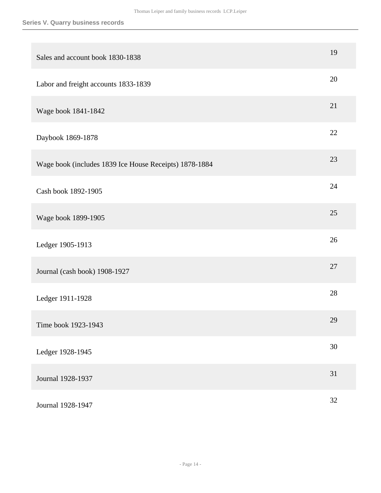| Sales and account book 1830-1838                       | 19 |
|--------------------------------------------------------|----|
| Labor and freight accounts 1833-1839                   | 20 |
| Wage book 1841-1842                                    | 21 |
| Daybook 1869-1878                                      | 22 |
| Wage book (includes 1839 Ice House Receipts) 1878-1884 | 23 |
| Cash book 1892-1905                                    | 24 |
| Wage book 1899-1905                                    | 25 |
| Ledger 1905-1913                                       | 26 |
| Journal (cash book) 1908-1927                          | 27 |
| Ledger 1911-1928                                       | 28 |
| Time book 1923-1943                                    | 29 |
| Ledger 1928-1945                                       | 30 |
| Journal 1928-1937                                      | 31 |
| Journal 1928-1947                                      | 32 |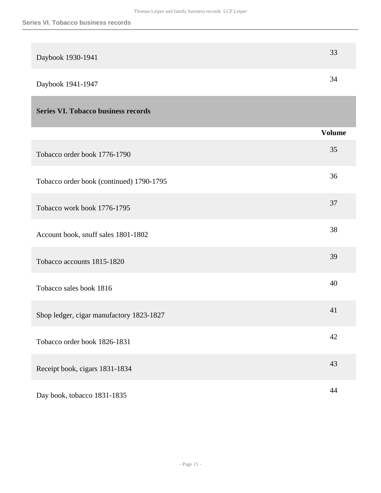<span id="page-14-0"></span>

| Daybook 1930-1941                          | 33            |
|--------------------------------------------|---------------|
| Daybook 1941-1947                          | 34            |
| <b>Series VI. Tobacco business records</b> |               |
|                                            | <b>Volume</b> |
| Tobacco order book 1776-1790               | 35            |
| Tobacco order book (continued) 1790-1795   | 36            |
| Tobacco work book 1776-1795                | 37            |
| Account book, snuff sales 1801-1802        | 38            |
| Tobacco accounts 1815-1820                 | 39            |
| Tobacco sales book 1816                    | 40            |
| Shop ledger, cigar manufactory 1823-1827   | 41            |
| Tobacco order book 1826-1831               | 42            |
| Receipt book, cigars 1831-1834             | 43            |
| Day book, tobacco 1831-1835                | 44            |